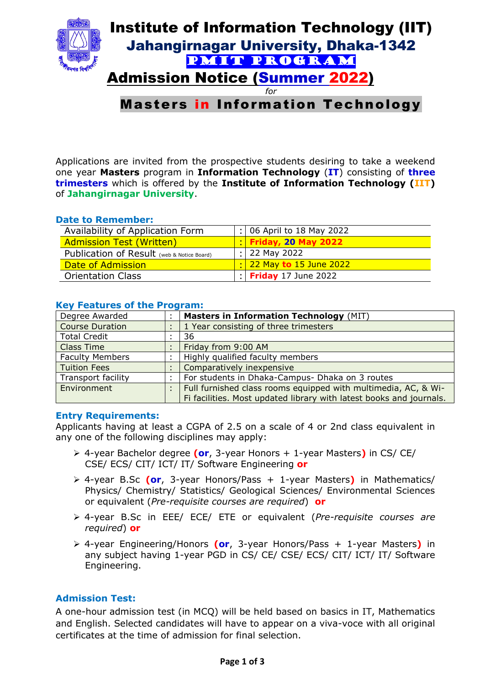

# Masters in Information Technology

Applications are invited from the prospective students desiring to take a weekend one year **Masters** program in **Information Technology** (**IT**) consisting of **three trimesters** which is offered by the **Institute of Information Technology (IIT)**  of **Jahangirnagar University**.

#### **Date to Remember:**

| Availability of Application Form           | $:$ 06 April to 18 May 2022          |
|--------------------------------------------|--------------------------------------|
| <b>Admission Test (Written)</b>            | <b>Friday, 20 May 2022</b>           |
| Publication of Result (web & Notice Board) | $:$ 22 May 2022                      |
| Date of Admission                          | $\frac{1}{2}$ 22 May to 15 June 2022 |
| <b>Orientation Class</b>                   | $\frac{1}{2}$ Friday 17 June 2022    |

| Degree Awarded            | <b>Masters in Information Technology (MIT)</b>                      |
|---------------------------|---------------------------------------------------------------------|
| <b>Course Duration</b>    | 1 Year consisting of three trimesters                               |
| <b>Total Credit</b>       | 36                                                                  |
| <b>Class Time</b>         | Friday from 9:00 AM                                                 |
| <b>Faculty Members</b>    | Highly qualified faculty members                                    |
| <b>Tuition Fees</b>       | Comparatively inexpensive                                           |
| <b>Transport facility</b> | For students in Dhaka-Campus- Dhaka on 3 routes                     |
| Environment               | Full furnished class rooms equipped with multimedia, AC, & Wi-      |
|                           | Fi facilities. Most updated library with latest books and journals. |

### **Key Features of the Program:**

## **Entry Requirements:**

Applicants having at least a CGPA of 2.5 on a scale of 4 or 2nd class equivalent in any one of the following disciplines may apply:

- 4-year Bachelor degree **(or**, 3-year Honors + 1-year Masters**)** in CS/ CE/ CSE/ ECS/ CIT/ ICT/ IT/ Software Engineering **or**
- 4-year B.Sc **(or**, 3-year Honors/Pass + 1-year Masters**)** in Mathematics/ Physics/ Chemistry/ Statistics/ Geological Sciences/ Environmental Sciences or equivalent (*Pre-requisite courses are required*) **or**
- 4-year B.Sc in EEE/ ECE/ ETE or equivalent (*Pre-requisite courses are required*) **or**
- 4-year Engineering/Honors **(or**, 3-year Honors/Pass + 1-year Masters**)** in any subject having 1-year PGD in CS/ CE/ CSE/ ECS/ CIT/ ICT/ IT/ Software Engineering.

## **Admission Test:**

A one-hour admission test (in MCQ) will be held based on basics in IT, Mathematics and English. Selected candidates will have to appear on a viva-voce with all original certificates at the time of admission for final selection.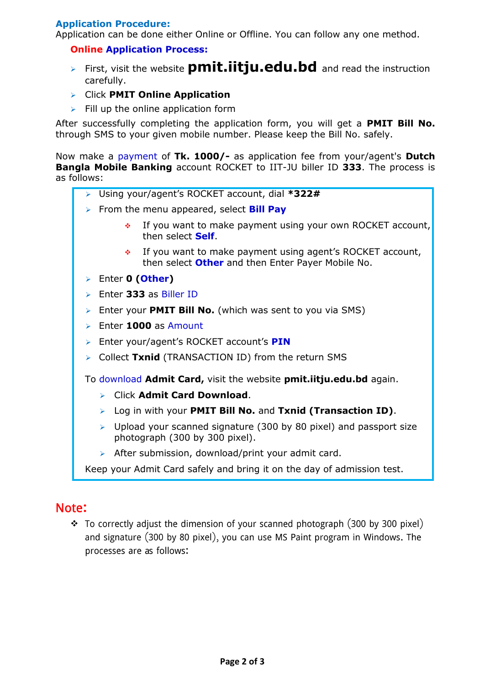## **Application Procedure:**

Application can be done either Online or Offline. You can follow any one method.

## **Online Application Process:**

- First, visit the website **pmit.iitju.edu.bd** and read the instruction carefully.
- Click **PMIT Online Application**
- $\triangleright$  Fill up the online application form

After successfully completing the application form, you will get a **PMIT Bill No.** through SMS to your given mobile number. Please keep the Bill No. safely.

Now make a payment of **Tk. 1000/-** as application fee from your/agent's **Dutch Bangla Mobile Banking** account ROCKET to IIT-JU biller ID **333**. The process is as follows:

- Using your/agent's ROCKET account, dial **\*322#**
- From the menu appeared, select **Bill Pay**
	- If you want to make payment using your own ROCKET account, then select **Self**.
		- $\cdot$  If you want to make payment using agent's ROCKET account, then select **Other** and then Enter Payer Mobile No.
- Enter **0 (Other)**
- Enter **333** as Biller ID
- Enter your **PMIT Bill No.** (which was sent to you via SMS)
- Enter **1000** as Amount
- Enter your/agent's ROCKET account's **PIN**
- Collect **Txnid** (TRANSACTION ID) from the return SMS

To download **Admit Card,** visit the website **pmit.iitju.edu.bd** again.

- Click **Admit Card Download**.
- Log in with your **PMIT Bill No.** and **Txnid (Transaction ID)**.
- $\triangleright$  Upload your scanned signature (300 by 80 pixel) and passport size photograph (300 by 300 pixel).
- $\triangleright$  After submission, download/print your admit card.

Keep your Admit Card safely and bring it on the day of admission test.

# Note:

 $\div$  To correctly adjust the dimension of your scanned photograph (300 by 300 pixel) and signature (300 by 80 pixel), you can use MS Paint program in Windows. The processes are as follows: